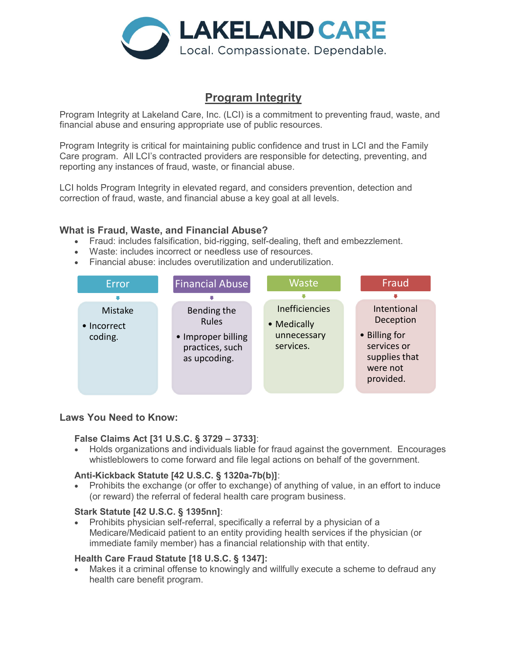

# Program Integrity

Program Integrity at Lakeland Care, Inc. (LCI) is a commitment to preventing fraud, waste, and financial abuse and ensuring appropriate use of public resources.

Program Integrity is critical for maintaining public confidence and trust in LCI and the Family Care program. All LCI's contracted providers are responsible for detecting, preventing, and reporting any instances of fraud, waste, or financial abuse.

LCI holds Program Integrity in elevated regard, and considers prevention, detection and correction of fraud, waste, and financial abuse a key goal at all levels.

## What is Fraud, Waste, and Financial Abuse?

- Fraud: includes falsification, bid-rigging, self-dealing, theft and embezzlement.
- Waste: includes incorrect or needless use of resources.
- Financial abuse: includes overutilization and underutilization.



## Laws You Need to Know:

#### False Claims Act [31 U.S.C. § 3729 – 3733]:

 Holds organizations and individuals liable for fraud against the government. Encourages whistleblowers to come forward and file legal actions on behalf of the government.

#### Anti-Kickback Statute [42 U.S.C. § 1320a-7b(b)]:

 Prohibits the exchange (or offer to exchange) of anything of value, in an effort to induce (or reward) the referral of federal health care program business.

#### Stark Statute [42 U.S.C. § 1395nn]:

 Prohibits physician self-referral, specifically a referral by a physician of a Medicare/Medicaid patient to an entity providing health services if the physician (or immediate family member) has a financial relationship with that entity.

#### Health Care Fraud Statute [18 U.S.C. § 1347]:

 Makes it a criminal offense to knowingly and willfully execute a scheme to defraud any health care benefit program.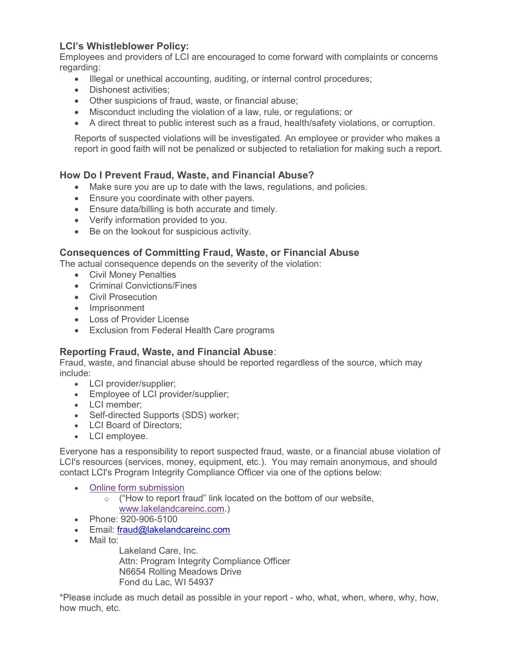## LCI's Whistleblower Policy:

Employees and providers of LCI are encouraged to come forward with complaints or concerns regarding:

- Illegal or unethical accounting, auditing, or internal control procedures;
- Dishonest activities:
- Other suspicions of fraud, waste, or financial abuse;
- Misconduct including the violation of a law, rule, or regulations; or
- A direct threat to public interest such as a fraud, health/safety violations, or corruption.

Reports of suspected violations will be investigated. An employee or provider who makes a report in good faith will not be penalized or subjected to retaliation for making such a report.

## How Do I Prevent Fraud, Waste, and Financial Abuse?

- Make sure you are up to date with the laws, regulations, and policies.
- Ensure you coordinate with other payers.
- Ensure data/billing is both accurate and timely.
- Verify information provided to you.
- Be on the lookout for suspicious activity.

## Consequences of Committing Fraud, Waste, or Financial Abuse

The actual consequence depends on the severity of the violation:

- Civil Money Penalties
- Criminal Convictions/Fines
- Civil Prosecution
- Imprisonment
- Loss of Provider License
- Exclusion from Federal Health Care programs

## Reporting Fraud, Waste, and Financial Abuse:

Fraud, waste, and financial abuse should be reported regardless of the source, which may include:

- LCI provider/supplier;
- **Employee of LCI provider/supplier;**
- LCI member:
- Self-directed Supports (SDS) worker;
- LCI Board of Directors:
- LCI employee.

Everyone has a responsibility to report suspected fraud, waste, or a financial abuse violation of LCI's resources (services, money, equipment, etc.). You may remain anonymous, and should contact LCI's Program Integrity Compliance Officer via one of the options below:

- Online form submission
	- $\circ$  ("How to report fraud" link located on the bottom of our website, www.lakelandcareinc.com.)
- Phone: 920-906-5100
- Email: fraud@lakelandcareinc.com
- Mail to:

Lakeland Care, Inc. Attn: Program Integrity Compliance Officer N6654 Rolling Meadows Drive Fond du Lac, WI 54937

\*Please include as much detail as possible in your report - who, what, when, where, why, how, how much, etc.